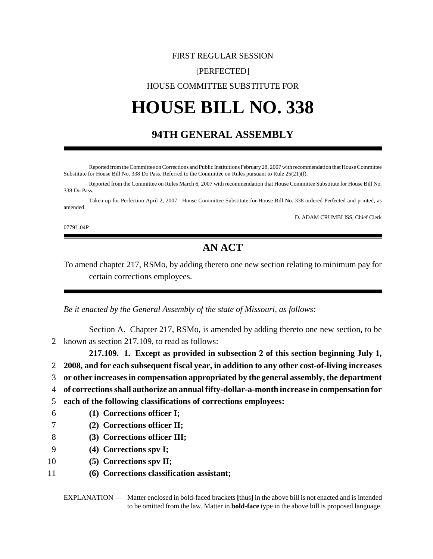## FIRST REGULAR SESSION [PERFECTED] HOUSE COMMITTEE SUBSTITUTE FOR

# **HOUSE BILL NO. 338**

## **94TH GENERAL ASSEMBLY**

Reported from the Committee on Corrections and Public Institutions February 28, 2007 with recommendation that House Committee Substitute for House Bill No. 338 Do Pass. Referred to the Committee on Rules pursuant to Rule 25(21)(f).

Reported from the Committee on Rules March 6, 2007 with recommendation that House Committee Substitute for House Bill No. 338 Do Pass.

Taken up for Perfection April 2, 2007. House Committee Substitute for House Bill No. 338 ordered Perfected and printed, as amended.

D. ADAM CRUMBLISS, Chief Clerk

0779L.04P

## **AN ACT**

To amend chapter 217, RSMo, by adding thereto one new section relating to minimum pay for certain corrections employees.

*Be it enacted by the General Assembly of the state of Missouri, as follows:*

Section A. Chapter 217, RSMo, is amended by adding thereto one new section, to be 2 known as section 217.109, to read as follows:

**217.109. 1. Except as provided in subsection 2 of this section beginning July 1,**

- 2 **2008, and for each subsequent fiscal year, in addition to any other cost-of-living increases**
- 3 **or other increases in compensation appropriated by the general assembly, the department**
- 4 **of corrections shall authorize an annual fifty-dollar-a-month increase in compensation for**
- 5 **each of the following classifications of corrections employees:**
- 6 **(1) Corrections officer I;**
- 7 **(2) Corrections officer II;**
- 8 **(3) Corrections officer III;**
- 9 **(4) Corrections spv I;**
- 10 **(5) Corrections spv II;**
- 11 **(6) Corrections classification assistant;**

EXPLANATION — Matter enclosed in bold-faced brackets **[**thus**]** in the above bill is not enacted and is intended to be omitted from the law. Matter in **bold-face** type in the above bill is proposed language.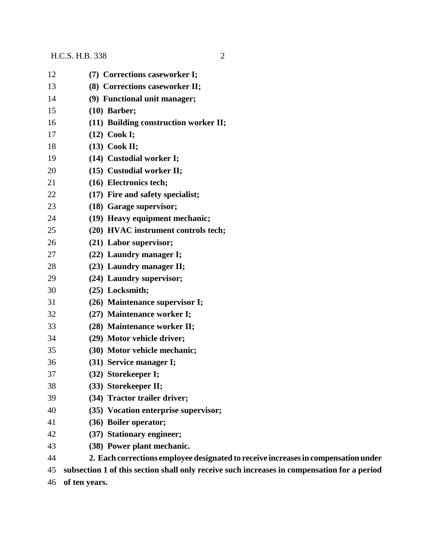#### H.C.S. H.B. 338 2

| 12 | (7) Corrections caseworker I;                                                               |
|----|---------------------------------------------------------------------------------------------|
| 13 | (8) Corrections caseworker II;                                                              |
| 14 | (9) Functional unit manager;                                                                |
| 15 | $(10)$ Barber;                                                                              |
| 16 | (11) Building construction worker II;                                                       |
| 17 | (12) Cook I;                                                                                |
| 18 | $(13)$ Cook II;                                                                             |
| 19 | (14) Custodial worker I;                                                                    |
| 20 | (15) Custodial worker II;                                                                   |
| 21 | (16) Electronics tech;                                                                      |
| 22 | (17) Fire and safety specialist;                                                            |
| 23 | (18) Garage supervisor;                                                                     |
| 24 | (19) Heavy equipment mechanic;                                                              |
| 25 | (20) HVAC instrument controls tech;                                                         |
| 26 | (21) Labor supervisor;                                                                      |
| 27 | (22) Laundry manager I;                                                                     |
| 28 | (23) Laundry manager II;                                                                    |
| 29 | (24) Laundry supervisor;                                                                    |
| 30 | (25) Locksmith;                                                                             |
| 31 | (26) Maintenance supervisor I;                                                              |
| 32 | (27) Maintenance worker I;                                                                  |
| 33 | (28) Maintenance worker II;                                                                 |
| 34 | (29) Motor vehicle driver;                                                                  |
| 35 | (30) Motor vehicle mechanic;                                                                |
| 36 | (31) Service manager I;                                                                     |
| 37 | (32) Storekeeper I;                                                                         |
| 38 | (33) Storekeeper II;                                                                        |
| 39 | (34) Tractor trailer driver;                                                                |
| 40 | (35) Vocation enterprise supervisor;                                                        |
| 41 | (36) Boiler operator;                                                                       |
| 42 | (37) Stationary engineer;                                                                   |
| 43 | (38) Power plant mechanic.                                                                  |
| 44 | 2. Each corrections employee designated to receive increases in compensation under          |
| 45 | subsection 1 of this section shall only receive such increases in compensation for a period |

**of ten years.**